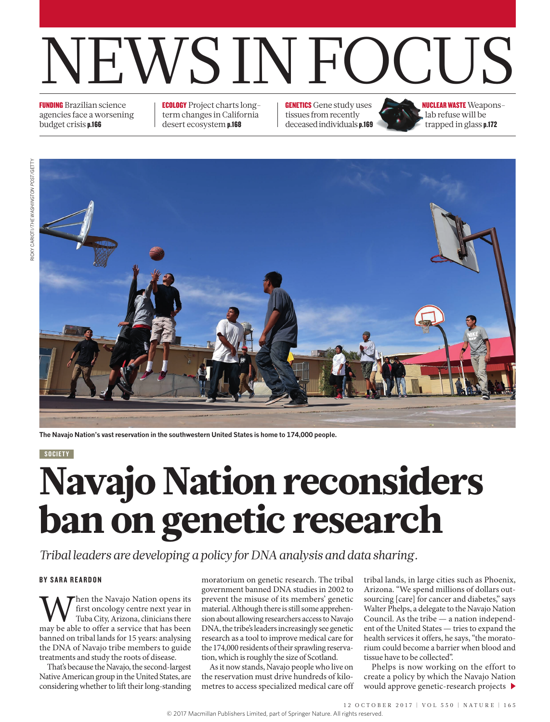# NEWS IN FOCUS

FUNDING Brazilian science agencies face a worsening budget crisis p.166

ECOLOGY Project charts longterm changes in California desert ecosystem p.168

**GENETICS** Gene study uses tissues from recently deceased individuals p.169 NUCLEAR WASTE Weaponslab refuse will be trapped in glass p.172



**The Navajo Nation's vast reservation in the southwestern United States is home to 174,000 people.** 

### SOCIETY

# Navajo Nation reconsiders ban on genetic research

*Tribal leaders are developing a policy for DNA analysis and data sharing.*

## BY SARA REARDON

When the Navajo Nation opens its<br>
Tuba City, Arizona, clinicians there<br>
may be able to offer a service that has been first oncology centre next year in Tuba City, Arizona, clinicians there banned on tribal lands for 15 years: analysing the DNA of Navajo tribe members to guide treatments and study the roots of disease.

That's because the Navajo, the second-largest Native American group in the United States, are considering whether to lift their long-standing

moratorium on genetic research. The tribal government banned DNA studies in 2002 to prevent the misuse of its members' genetic material. Although there is still some apprehension about allowing researchers access to Navajo DNA, the tribe's leaders increasingly see genetic research as a tool to improve medical care for the 174,000 residents of their sprawling reservation, which is roughly the size of Scotland.

As it now stands, Navajo people who live on the reservation must drive hundreds of kilometres to access specialized medical care off tribal lands, in large cities such as Phoenix, Arizona. "We spend millions of dollars outsourcing [care] for cancer and diabetes," says Walter Phelps, a delegate to the Navajo Nation Council. As the tribe — a nation independent of the United States — tries to expand the health services it offers, he says, "the moratorium could become a barrier when blood and tissue have to be collected".

Phelps is now working on the effort to create a policy by which the Navajo Nation would approve genetic-research projects  $\blacktriangleright$